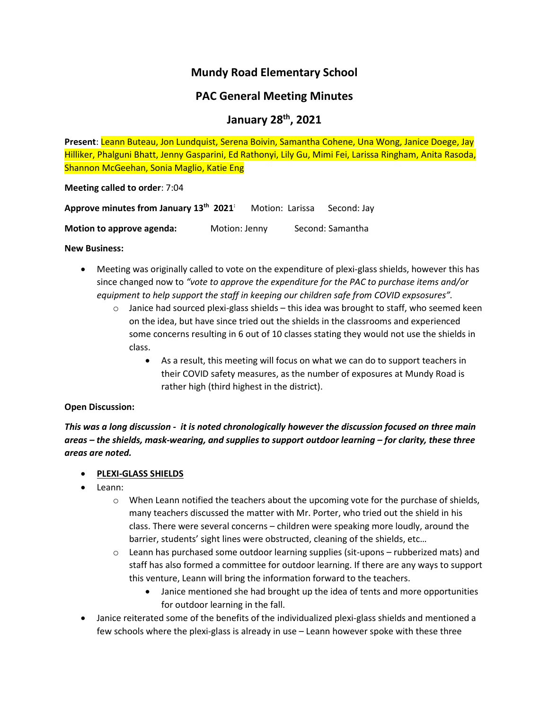# **Mundy Road Elementary School**

## **PAC General Meeting Minutes**

### **January 28th, 2021**

**Present**: Leann Buteau, Jon Lundquist, Serena Boivin, Samantha Cohene, Una Wong, Janice Doege, Jay Hilliker, Phalguni Bhatt, Jenny Gasparini, Ed Rathonyi, Lily Gu, Mimi Fei, Larissa Ringham, Anita Rasoda, Shannon McGeehan, Sonia Maglio, Katie Eng

**Meeting called to order**: 7:04

| Approve minutes from January 13th 2021 |               | Motion: Larissa | Second: Jay      |
|----------------------------------------|---------------|-----------------|------------------|
| Motion to approve agenda:              | Motion: Jenny |                 | Second: Samantha |

#### **New Business:**

- Meeting was originally called to vote on the expenditure of plexi-glass shields, however this has since changed now to *"vote to approve the expenditure for the PAC to purchase items and/or equipment to help support the staff in keeping our children safe from COVID expsosures".*
	- $\circ$  Janice had sourced plexi-glass shields this idea was brought to staff, who seemed keen on the idea, but have since tried out the shields in the classrooms and experienced some concerns resulting in 6 out of 10 classes stating they would not use the shields in class.
		- As a result, this meeting will focus on what we can do to support teachers in their COVID safety measures, as the number of exposures at Mundy Road is rather high (third highest in the district).

### **Open Discussion:**

*This was a long discussion - it is noted chronologically however the discussion focused on three main areas – the shields, mask-wearing, and supplies to support outdoor learning – for clarity, these three areas are noted.* 

### • **PLEXI-GLASS SHIELDS**

- Leann:
	- $\circ$  When Leann notified the teachers about the upcoming vote for the purchase of shields, many teachers discussed the matter with Mr. Porter, who tried out the shield in his class. There were several concerns – children were speaking more loudly, around the barrier, students' sight lines were obstructed, cleaning of the shields, etc…
	- $\circ$  Leann has purchased some outdoor learning supplies (sit-upons rubberized mats) and staff has also formed a committee for outdoor learning. If there are any ways to support this venture, Leann will bring the information forward to the teachers.
		- Janice mentioned she had brought up the idea of tents and more opportunities for outdoor learning in the fall.
- Janice reiterated some of the benefits of the individualized plexi-glass shields and mentioned a few schools where the plexi-glass is already in use – Leann however spoke with these three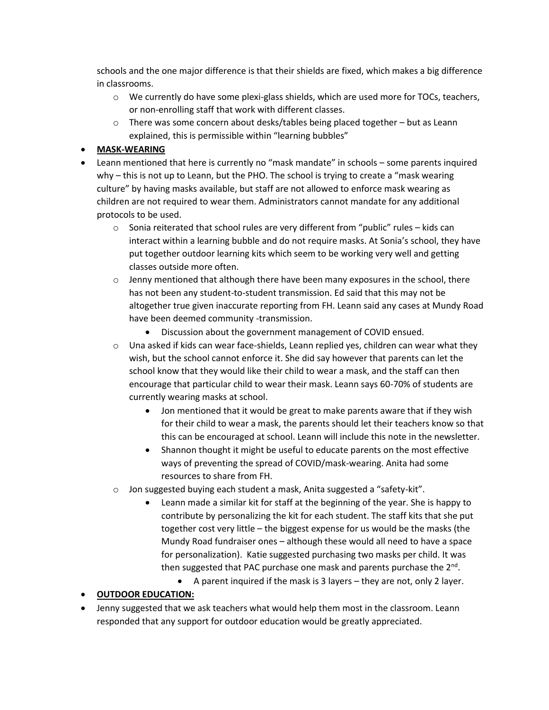schools and the one major difference is that their shields are fixed, which makes a big difference in classrooms.

- $\circ$  We currently do have some plexi-glass shields, which are used more for TOCs, teachers, or non-enrolling staff that work with different classes.
- $\circ$  There was some concern about desks/tables being placed together but as Leann explained, this is permissible within "learning bubbles"

### • **MASK-WEARING**

- Leann mentioned that here is currently no "mask mandate" in schools some parents inquired why – this is not up to Leann, but the PHO. The school is trying to create a "mask wearing culture" by having masks available, but staff are not allowed to enforce mask wearing as children are not required to wear them. Administrators cannot mandate for any additional protocols to be used.
	- $\circ$  Sonia reiterated that school rules are very different from "public" rules kids can interact within a learning bubble and do not require masks. At Sonia's school, they have put together outdoor learning kits which seem to be working very well and getting classes outside more often.
	- $\circ$  Jenny mentioned that although there have been many exposures in the school, there has not been any student-to-student transmission. Ed said that this may not be altogether true given inaccurate reporting from FH. Leann said any cases at Mundy Road have been deemed community -transmission.
		- Discussion about the government management of COVID ensued.
	- $\circ$  Una asked if kids can wear face-shields, Leann replied yes, children can wear what they wish, but the school cannot enforce it. She did say however that parents can let the school know that they would like their child to wear a mask, and the staff can then encourage that particular child to wear their mask. Leann says 60-70% of students are currently wearing masks at school.
		- Jon mentioned that it would be great to make parents aware that if they wish for their child to wear a mask, the parents should let their teachers know so that this can be encouraged at school. Leann will include this note in the newsletter.
		- Shannon thought it might be useful to educate parents on the most effective ways of preventing the spread of COVID/mask-wearing. Anita had some resources to share from FH.
	- o Jon suggested buying each student a mask, Anita suggested a "safety-kit".
		- Leann made a similar kit for staff at the beginning of the year. She is happy to contribute by personalizing the kit for each student. The staff kits that she put together cost very little – the biggest expense for us would be the masks (the Mundy Road fundraiser ones – although these would all need to have a space for personalization). Katie suggested purchasing two masks per child. It was then suggested that PAC purchase one mask and parents purchase the 2<sup>nd</sup>.
			- A parent inquired if the mask is 3 layers they are not, only 2 layer.

### • **OUTDOOR EDUCATION:**

• Jenny suggested that we ask teachers what would help them most in the classroom. Leann responded that any support for outdoor education would be greatly appreciated.